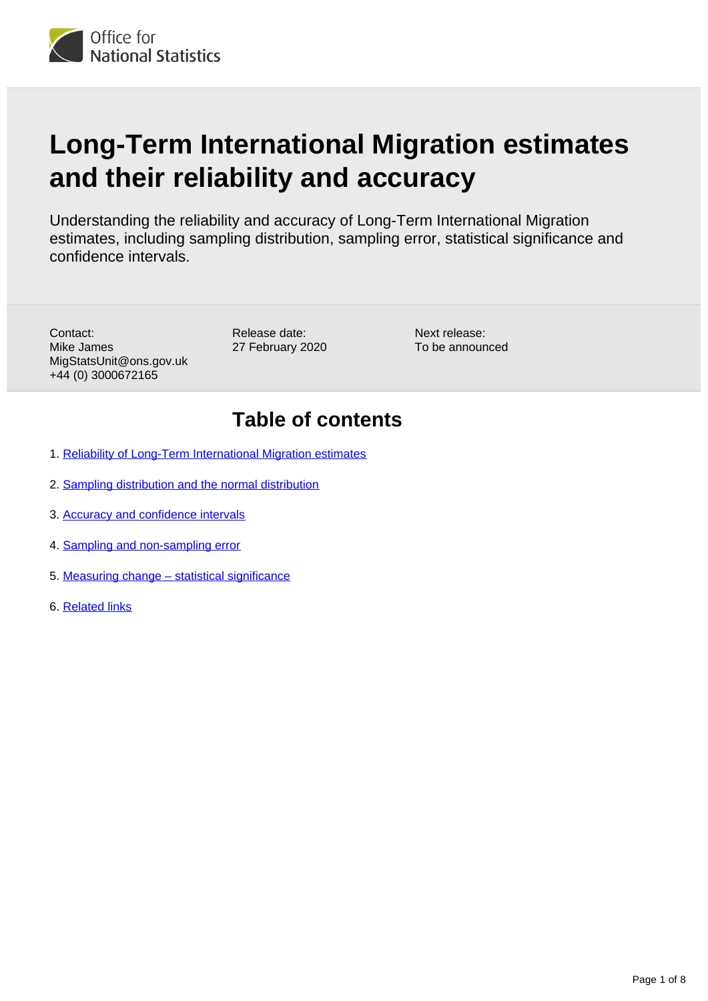

# **Long-Term International Migration estimates and their reliability and accuracy**

Understanding the reliability and accuracy of Long-Term International Migration estimates, including sampling distribution, sampling error, statistical significance and confidence intervals.

Contact: Mike James MigStatsUnit@ons.gov.uk +44 (0) 3000672165

Release date: 27 February 2020

Next release: To be announced

### **Table of contents**

- 1. [Reliability of Long-Term International Migration estimates](#page-1-0)
- 2. [Sampling distribution and the normal distribution](#page-2-0)
- 3. [Accuracy and confidence intervals](#page-3-0)
- 4. [Sampling and non-sampling error](#page-4-0)
- 5. [Measuring change statistical significance](#page-5-0)
- 6. [Related links](#page-7-0)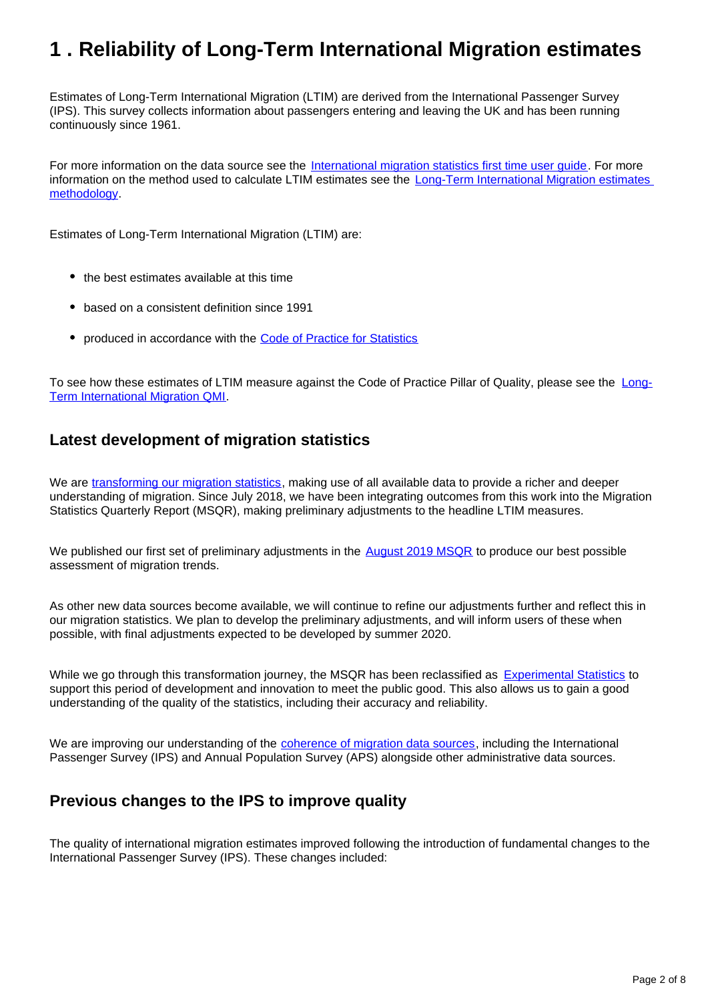## <span id="page-1-0"></span>**1 . Reliability of Long-Term International Migration estimates**

Estimates of Long-Term International Migration (LTIM) are derived from the International Passenger Survey (IPS). This survey collects information about passengers entering and leaving the UK and has been running continuously since 1961.

For more information on the data source see the [International migration statistics first time user guide](https://www.ons.gov.uk/peoplepopulationandcommunity/populationandmigration/internationalmigration/methodologies/migrationstatisticsfirsttimeuserguideglossaryandlistofproducts). For more information on the method used to calculate LTIM estimates see the [Long-Term International Migration estimates](https://www.ons.gov.uk/peoplepopulationandcommunity/populationandmigration/internationalmigration/methodologies/longterminternationalmigrationestimatesmethodology)  [methodology.](https://www.ons.gov.uk/peoplepopulationandcommunity/populationandmigration/internationalmigration/methodologies/longterminternationalmigrationestimatesmethodology)

Estimates of Long-Term International Migration (LTIM) are:

- the best estimates available at this time
- based on a consistent definition since 1991
- produced in accordance with the [Code of Practice for Statistics](https://www.statisticsauthority.gov.uk/monitoring-and-assessment/code-of-practice/)

To see how these estimates of LTIM measure against the Code of Practice Pillar of Quality, please see the [Long-](https://www.ons.gov.uk/peoplepopulationandcommunity/populationandmigration/populationestimates/methodologies/longterminternationalmigrationqmi)[Term International Migration QMI](https://www.ons.gov.uk/peoplepopulationandcommunity/populationandmigration/populationestimates/methodologies/longterminternationalmigrationqmi).

### **Latest development of migration statistics**

We are [transforming our migration statistics](https://www.ons.gov.uk/peoplepopulationandcommunity/populationandmigration/internationalmigration/articles/transformationofthepopulationandmigrationstatisticssystemoverview/2019-06-21), making use of all available data to provide a richer and deeper understanding of migration. Since July 2018, we have been integrating outcomes from this work into the Migration Statistics Quarterly Report (MSQR), making preliminary adjustments to the headline LTIM measures.

We published our first set of preliminary adjustments in the [August 2019 MSQR](https://www.ons.gov.uk/peoplepopulationandcommunity/populationandmigration/internationalmigration/bulletins/migrationstatisticsquarterlyreport/august2019) to produce our best possible assessment of migration trends.

As other new data sources become available, we will continue to refine our adjustments further and reflect this in our migration statistics. We plan to develop the preliminary adjustments, and will inform users of these when possible, with final adjustments expected to be developed by summer 2020.

While we go through this transformation journey, the MSQR has been reclassified as [Experimental Statistics](https://www.ons.gov.uk/news/statementsandletters/statementfromtheonsonthereclassificationofinternationalmigrationstatistics) to support this period of development and innovation to meet the public good. This also allows us to gain a good understanding of the quality of the statistics, including their accuracy and reliability.

We are improving our understanding of the [coherence of migration data sources](https://www.ons.gov.uk/peoplepopulationandcommunity/populationandmigration/internationalmigration/articles/understandingdifferentmigrationdatasources/augustprogressreport), including the International Passenger Survey (IPS) and Annual Population Survey (APS) alongside other administrative data sources.

### **Previous changes to the IPS to improve quality**

The quality of international migration estimates improved following the introduction of fundamental changes to the International Passenger Survey (IPS). These changes included: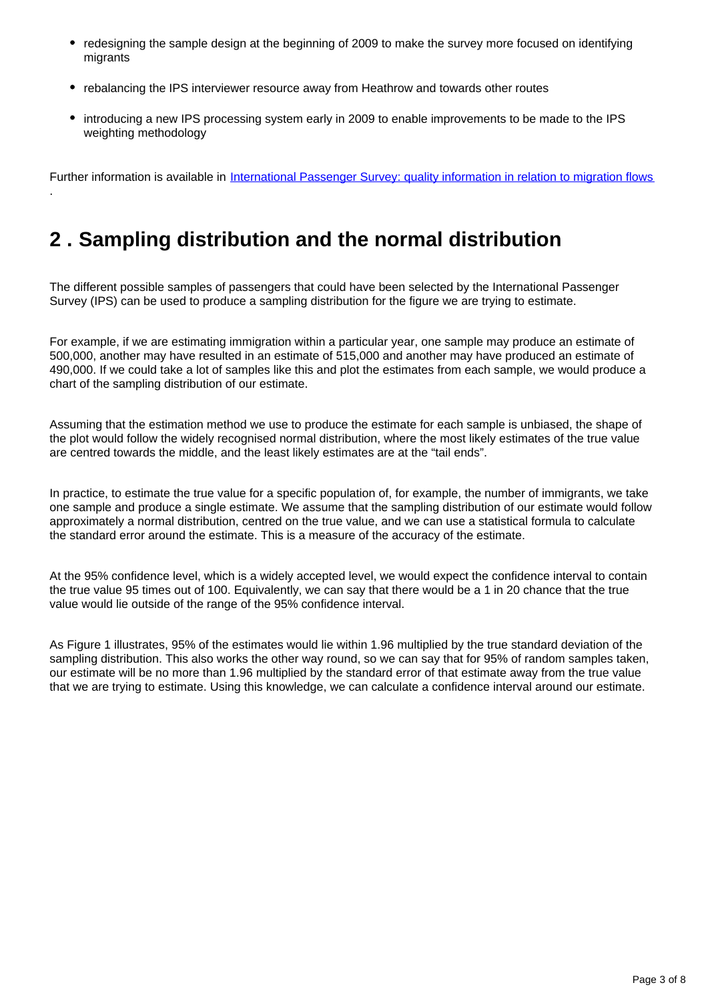- redesigning the sample design at the beginning of 2009 to make the survey more focused on identifying migrants
- rebalancing the IPS interviewer resource away from Heathrow and towards other routes
- introducing a new IPS processing system early in 2009 to enable improvements to be made to the IPS weighting methodology

Further information is available in [International Passenger Survey: quality information in relation to migration flows](https://www.ons.gov.uk/peoplepopulationandcommunity/populationandmigration/internationalmigration/methodologies/internationalpassengersurveyqualityinformationinrelationtomigrationflows)

## <span id="page-2-0"></span>**2 . Sampling distribution and the normal distribution**

.

The different possible samples of passengers that could have been selected by the International Passenger Survey (IPS) can be used to produce a sampling distribution for the figure we are trying to estimate.

For example, if we are estimating immigration within a particular year, one sample may produce an estimate of 500,000, another may have resulted in an estimate of 515,000 and another may have produced an estimate of 490,000. If we could take a lot of samples like this and plot the estimates from each sample, we would produce a chart of the sampling distribution of our estimate.

Assuming that the estimation method we use to produce the estimate for each sample is unbiased, the shape of the plot would follow the widely recognised normal distribution, where the most likely estimates of the true value are centred towards the middle, and the least likely estimates are at the "tail ends".

In practice, to estimate the true value for a specific population of, for example, the number of immigrants, we take one sample and produce a single estimate. We assume that the sampling distribution of our estimate would follow approximately a normal distribution, centred on the true value, and we can use a statistical formula to calculate the standard error around the estimate. This is a measure of the accuracy of the estimate.

At the 95% confidence level, which is a widely accepted level, we would expect the confidence interval to contain the true value 95 times out of 100. Equivalently, we can say that there would be a 1 in 20 chance that the true value would lie outside of the range of the 95% confidence interval.

As Figure 1 illustrates, 95% of the estimates would lie within 1.96 multiplied by the true standard deviation of the sampling distribution. This also works the other way round, so we can say that for 95% of random samples taken, our estimate will be no more than 1.96 multiplied by the standard error of that estimate away from the true value that we are trying to estimate. Using this knowledge, we can calculate a confidence interval around our estimate.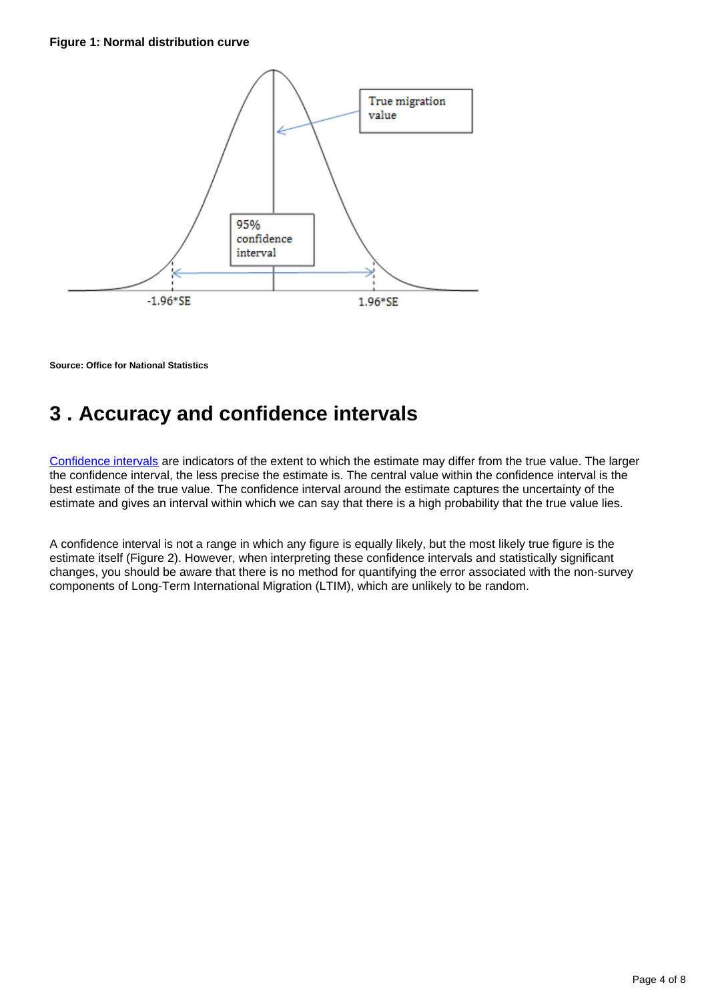

**Source: Office for National Statistics**

## <span id="page-3-0"></span>**3 . Accuracy and confidence intervals**

[Confidence intervals](https://www.ons.gov.uk/methodology/methodologytopicsandstatisticalconcepts/uncertaintyandhowwemeasureit#confidence-interval) are indicators of the extent to which the estimate may differ from the true value. The larger the confidence interval, the less precise the estimate is. The central value within the confidence interval is the best estimate of the true value. The confidence interval around the estimate captures the uncertainty of the estimate and gives an interval within which we can say that there is a high probability that the true value lies.

A confidence interval is not a range in which any figure is equally likely, but the most likely true figure is the estimate itself (Figure 2). However, when interpreting these confidence intervals and statistically significant changes, you should be aware that there is no method for quantifying the error associated with the non-survey components of Long-Term International Migration (LTIM), which are unlikely to be random.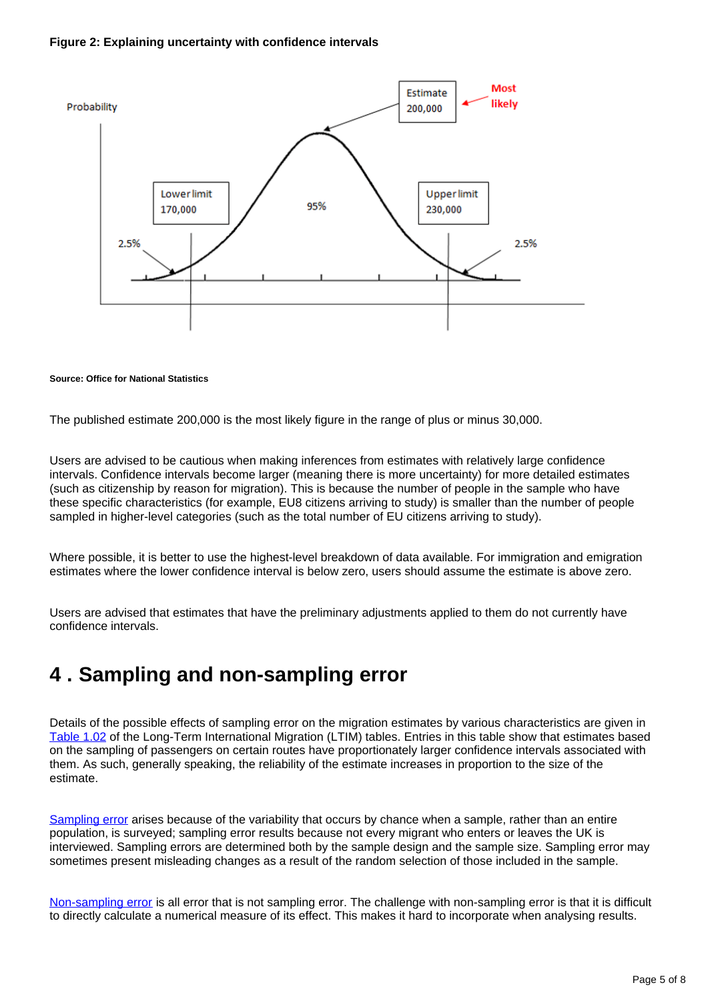#### **Figure 2: Explaining uncertainty with confidence intervals**



#### **Source: Office for National Statistics**

The published estimate 200,000 is the most likely figure in the range of plus or minus 30,000.

Users are advised to be cautious when making inferences from estimates with relatively large confidence intervals. Confidence intervals become larger (meaning there is more uncertainty) for more detailed estimates (such as citizenship by reason for migration). This is because the number of people in the sample who have these specific characteristics (for example, EU8 citizens arriving to study) is smaller than the number of people sampled in higher-level categories (such as the total number of EU citizens arriving to study).

Where possible, it is better to use the highest-level breakdown of data available. For immigration and emigration estimates where the lower confidence interval is below zero, users should assume the estimate is above zero.

Users are advised that estimates that have the preliminary adjustments applied to them do not currently have confidence intervals.

### <span id="page-4-0"></span>**4 . Sampling and non-sampling error**

Details of the possible effects of sampling error on the migration estimates by various characteristics are given in [Table 1.02](https://www.ons.gov.uk/peoplepopulationandcommunity/populationandmigration/internationalmigration/datasets/internationalpassengersurveymarginsoferrortable102) of the Long-Term International Migration (LTIM) tables. Entries in this table show that estimates based on the sampling of passengers on certain routes have proportionately larger confidence intervals associated with them. As such, generally speaking, the reliability of the estimate increases in proportion to the size of the estimate.

[Sampling error](https://www.ons.gov.uk/methodology/methodologytopicsandstatisticalconcepts/uncertaintyandhowwemeasureit#sampling-the-population) arises because of the variability that occurs by chance when a sample, rather than an entire population, is surveyed; sampling error results because not every migrant who enters or leaves the UK is interviewed. Sampling errors are determined both by the sample design and the sample size. Sampling error may sometimes present misleading changes as a result of the random selection of those included in the sample.

[Non-sampling error](https://www.ons.gov.uk/methodology/methodologytopicsandstatisticalconcepts/uncertaintyandhowwemeasureit#sampling-the-population) is all error that is not sampling error. The challenge with non-sampling error is that it is difficult to directly calculate a numerical measure of its effect. This makes it hard to incorporate when analysing results.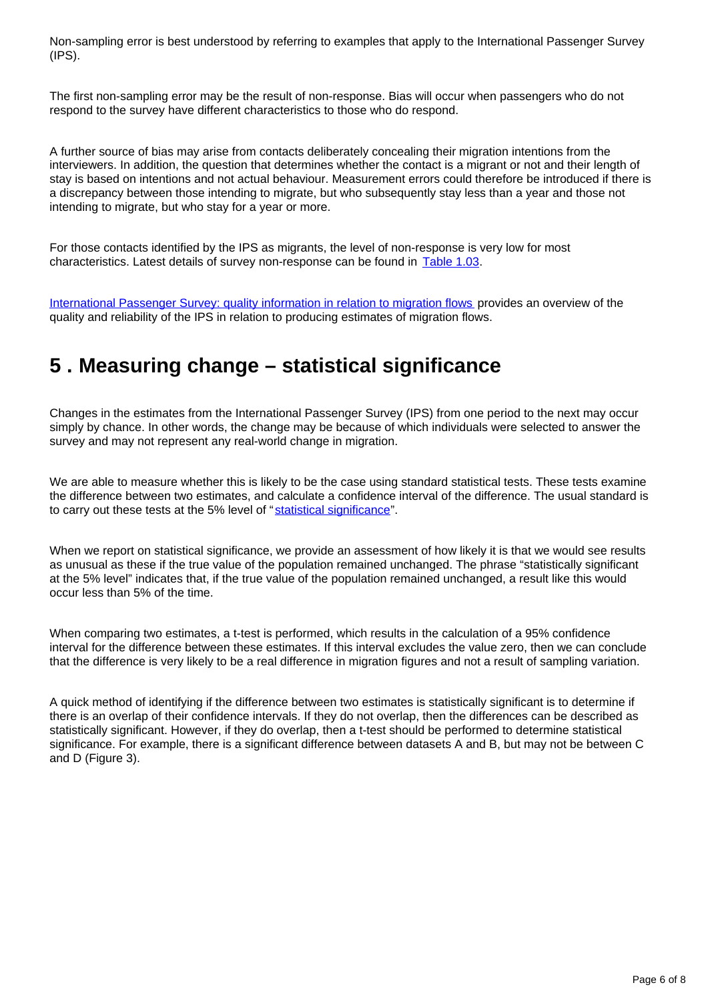Non-sampling error is best understood by referring to examples that apply to the International Passenger Survey (IPS).

The first non-sampling error may be the result of non-response. Bias will occur when passengers who do not respond to the survey have different characteristics to those who do respond.

A further source of bias may arise from contacts deliberately concealing their migration intentions from the interviewers. In addition, the question that determines whether the contact is a migrant or not and their length of stay is based on intentions and not actual behaviour. Measurement errors could therefore be introduced if there is a discrepancy between those intending to migrate, but who subsequently stay less than a year and those not intending to migrate, but who stay for a year or more.

For those contacts identified by the IPS as migrants, the level of non-response is very low for most characteristics. Latest details of survey non-response can be found in [Table 1.03](https://www.ons.gov.uk/peoplepopulationandcommunity/populationandmigration/internationalmigration/datasets/internationalpassengersurveynonresponsetable103).

[International Passenger Survey: quality information in relation to migration flows](https://www.ons.gov.uk/peoplepopulationandcommunity/populationandmigration/internationalmigration/methodologies/internationalpassengersurveyqualityinformationinrelationtomigrationflows) provides an overview of the quality and reliability of the IPS in relation to producing estimates of migration flows.

### <span id="page-5-0"></span>**5 . Measuring change – statistical significance**

Changes in the estimates from the International Passenger Survey (IPS) from one period to the next may occur simply by chance. In other words, the change may be because of which individuals were selected to answer the survey and may not represent any real-world change in migration.

We are able to measure whether this is likely to be the case using standard statistical tests. These tests examine the difference between two estimates, and calculate a confidence interval of the difference. The usual standard is to carry out these tests at the 5% level of "[statistical significance"](https://www.ons.gov.uk/methodology/methodologytopicsandstatisticalconcepts/uncertaintyandhowwemeasureit#statistical-significance).

When we report on statistical significance, we provide an assessment of how likely it is that we would see results as unusual as these if the true value of the population remained unchanged. The phrase "statistically significant at the 5% level" indicates that, if the true value of the population remained unchanged, a result like this would occur less than 5% of the time.

When comparing two estimates, a t-test is performed, which results in the calculation of a 95% confidence interval for the difference between these estimates. If this interval excludes the value zero, then we can conclude that the difference is very likely to be a real difference in migration figures and not a result of sampling variation.

A quick method of identifying if the difference between two estimates is statistically significant is to determine if there is an overlap of their confidence intervals. If they do not overlap, then the differences can be described as statistically significant. However, if they do overlap, then a t-test should be performed to determine statistical significance. For example, there is a significant difference between datasets A and B, but may not be between C and D (Figure 3).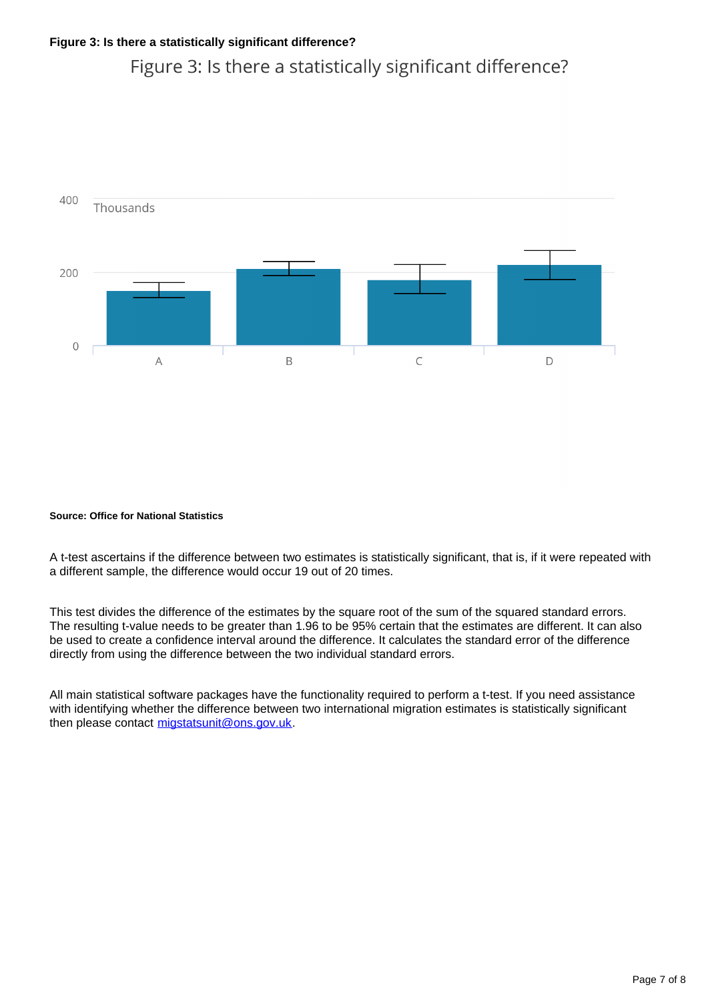### Figure 3: Is there a statistically significant difference?



#### **Source: Office for National Statistics**

A t-test ascertains if the difference between two estimates is statistically significant, that is, if it were repeated with a different sample, the difference would occur 19 out of 20 times.

This test divides the difference of the estimates by the square root of the sum of the squared standard errors. The resulting t-value needs to be greater than 1.96 to be 95% certain that the estimates are different. It can also be used to create a confidence interval around the difference. It calculates the standard error of the difference directly from using the difference between the two individual standard errors.

All main statistical software packages have the functionality required to perform a t-test. If you need assistance with identifying whether the difference between two international migration estimates is statistically significant then please contact migstatsunit@ons.gov.uk.